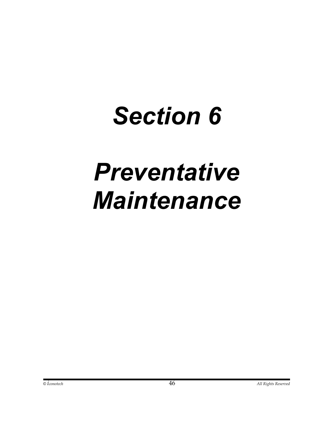## *Section 6*

# *Preventative Maintenance*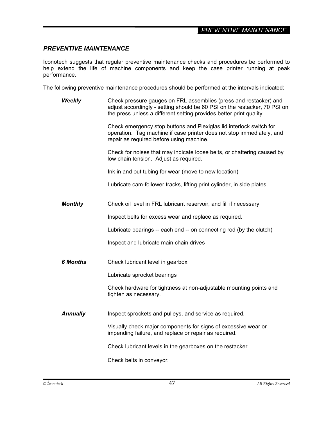#### *\_PREVENTIVE MAINTENANCE\_*

#### *PREVENTIVE MAINTENANCE*

Iconotech suggests that regular preventive maintenance checks and procedures be performed to help extend the life of machine components and keep the case printer running at peak performance.

The following preventive maintenance procedures should be performed at the intervals indicated:

*Weekly* Check pressure gauges on FRL assemblies (press and restacker) and adjust accordingly - setting should be 60 PSI on the restacker, 70 PSI on the press unless a different setting provides better print quality.

> Check emergency stop buttons and Plexiglas lid interlock switch for operation. Tag machine if case printer does not stop immediately, and repair as required before using machine.

> Check for noises that may indicate loose belts, or chattering caused by low chain tension. Adjust as required.

Ink in and out tubing for wear (move to new location)

Lubricate cam-follower tracks, lifting print cylinder, in side plates.

*Monthly* Check oil level in FRL lubricant reservoir, and fill if necessary

Inspect belts for excess wear and replace as required.

Lubricate bearings -- each end -- on connecting rod (by the clutch)

Inspect and lubricate main chain drives

*6 Months* Check lubricant level in gearbox

Lubricate sprocket bearings

 Check hardware for tightness at non-adjustable mounting points and tighten as necessary.

**Annually** Inspect sprockets and pulleys, and service as required.

 Visually check major components for signs of excessive wear or impending failure, and replace or repair as required.

Check lubricant levels in the gearboxes on the restacker.

Check belts in conveyor*.*